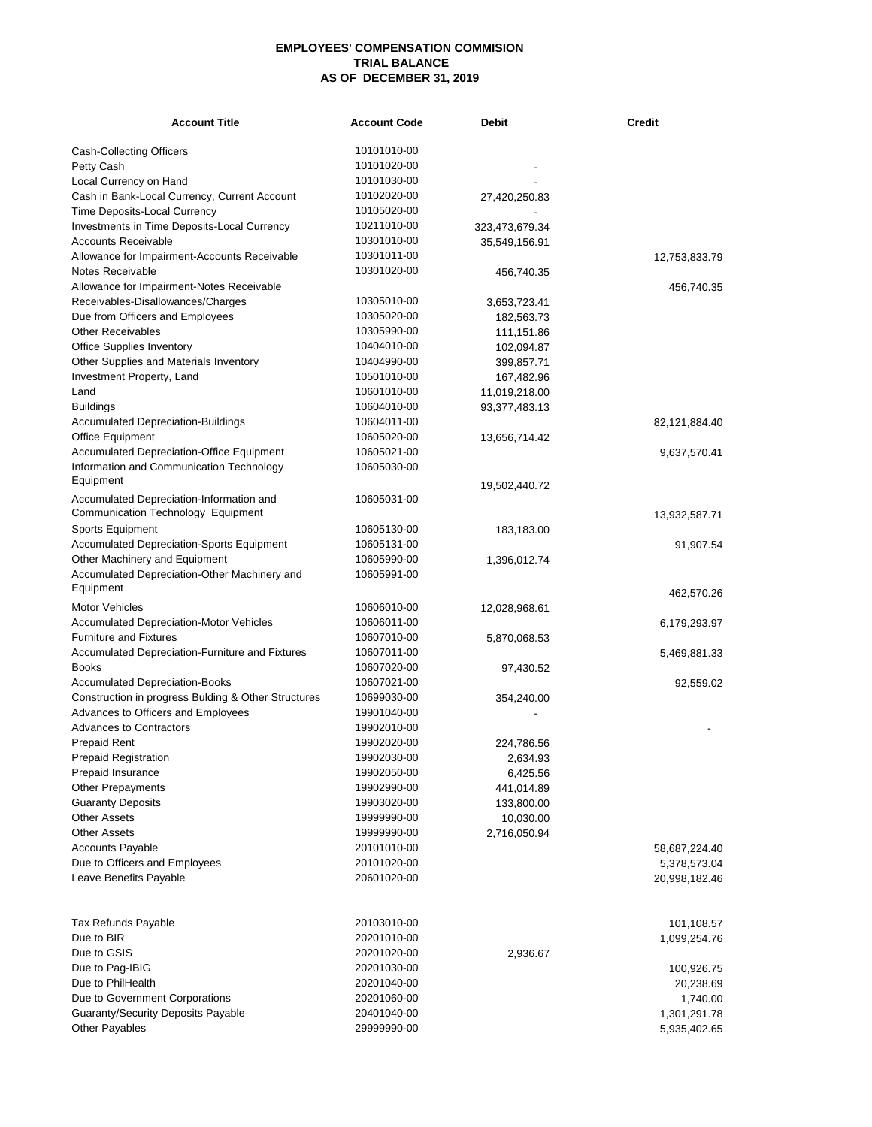## **EMPLOYEES' COMPENSATION COMMISION TRIAL BALANCE AS OF DECEMBER 31, 2019**

| <b>Account Title</b>                                                           | <b>Account Code</b> | <b>Debit</b>   | <b>Credit</b> |
|--------------------------------------------------------------------------------|---------------------|----------------|---------------|
| Cash-Collecting Officers                                                       | 10101010-00         |                |               |
| Petty Cash                                                                     | 10101020-00         |                |               |
| Local Currency on Hand                                                         | 10101030-00         |                |               |
| Cash in Bank-Local Currency, Current Account                                   | 10102020-00         | 27,420,250.83  |               |
| Time Deposits-Local Currency                                                   | 10105020-00         |                |               |
| Investments in Time Deposits-Local Currency                                    | 10211010-00         | 323,473,679.34 |               |
| <b>Accounts Receivable</b>                                                     | 10301010-00         | 35,549,156.91  |               |
| Allowance for Impairment-Accounts Receivable                                   | 10301011-00         |                | 12,753,833.79 |
| <b>Notes Receivable</b>                                                        | 10301020-00         | 456,740.35     |               |
| Allowance for Impairment-Notes Receivable                                      |                     |                | 456,740.35    |
| Receivables-Disallowances/Charges                                              | 10305010-00         | 3,653,723.41   |               |
| Due from Officers and Employees                                                | 10305020-00         | 182,563.73     |               |
| <b>Other Receivables</b>                                                       | 10305990-00         | 111,151.86     |               |
| <b>Office Supplies Inventory</b>                                               | 10404010-00         | 102,094.87     |               |
| Other Supplies and Materials Inventory                                         | 10404990-00         | 399,857.71     |               |
| Investment Property, Land                                                      | 10501010-00         | 167,482.96     |               |
| Land                                                                           | 10601010-00         | 11,019,218.00  |               |
| Buildings                                                                      | 10604010-00         | 93,377,483.13  |               |
| <b>Accumulated Depreciation-Buildings</b>                                      | 10604011-00         |                | 82,121,884.40 |
| Office Equipment                                                               | 10605020-00         | 13,656,714.42  |               |
| <b>Accumulated Depreciation-Office Equipment</b>                               | 10605021-00         |                | 9,637,570.41  |
| Information and Communication Technology                                       | 10605030-00         |                |               |
| Equipment                                                                      |                     | 19,502,440.72  |               |
| Accumulated Depreciation-Information and<br>Communication Technology Equipment | 10605031-00         |                |               |
| Sports Equipment                                                               | 10605130-00         |                | 13,932,587.71 |
| Accumulated Depreciation-Sports Equipment                                      | 10605131-00         | 183,183.00     | 91,907.54     |
| Other Machinery and Equipment                                                  | 10605990-00         | 1,396,012.74   |               |
| Accumulated Depreciation-Other Machinery and                                   | 10605991-00         |                |               |
| Equipment                                                                      |                     |                |               |
| <b>Motor Vehicles</b>                                                          | 10606010-00         |                | 462,570.26    |
| <b>Accumulated Depreciation-Motor Vehicles</b>                                 | 10606011-00         | 12,028,968.61  | 6,179,293.97  |
| <b>Furniture and Fixtures</b>                                                  | 10607010-00         | 5,870,068.53   |               |
| Accumulated Depreciation-Furniture and Fixtures                                | 10607011-00         |                | 5,469,881.33  |
| Books                                                                          | 10607020-00         | 97,430.52      |               |
| <b>Accumulated Depreciation-Books</b>                                          | 10607021-00         |                | 92,559.02     |
| Construction in progress Bulding & Other Structures                            | 10699030-00         | 354,240.00     |               |
| Advances to Officers and Employees                                             | 19901040-00         |                |               |
| <b>Advances to Contractors</b>                                                 | 19902010-00         |                |               |
| <b>Prepaid Rent</b>                                                            | 19902020-00         | 224,786.56     |               |
| <b>Prepaid Registration</b>                                                    | 19902030-00         | 2,634.93       |               |
| Prepaid Insurance                                                              | 19902050-00         | 6,425.56       |               |
| Other Prepayments                                                              | 19902990-00         | 441,014.89     |               |
| <b>Guaranty Deposits</b>                                                       | 19903020-00         | 133,800.00     |               |
| Other Assets                                                                   | 19999990-00         | 10,030.00      |               |
| <b>Other Assets</b>                                                            | 19999990-00         | 2,716,050.94   |               |
| <b>Accounts Payable</b>                                                        | 20101010-00         |                | 58,687,224.40 |
| Due to Officers and Employees                                                  | 20101020-00         |                | 5,378,573.04  |
| Leave Benefits Payable                                                         | 20601020-00         |                | 20,998,182.46 |
| Tax Refunds Payable                                                            | 20103010-00         |                | 101,108.57    |
| Due to BIR                                                                     | 20201010-00         |                | 1,099,254.76  |
| Due to GSIS                                                                    | 20201020-00         | 2,936.67       |               |
| Due to Pag-IBIG                                                                | 20201030-00         |                | 100,926.75    |
| Due to PhilHealth                                                              | 20201040-00         |                | 20,238.69     |
| Due to Government Corporations                                                 | 20201060-00         |                | 1,740.00      |
| <b>Guaranty/Security Deposits Payable</b>                                      | 20401040-00         |                | 1,301,291.78  |
| Other Payables                                                                 | 29999990-00         |                | 5,935,402.65  |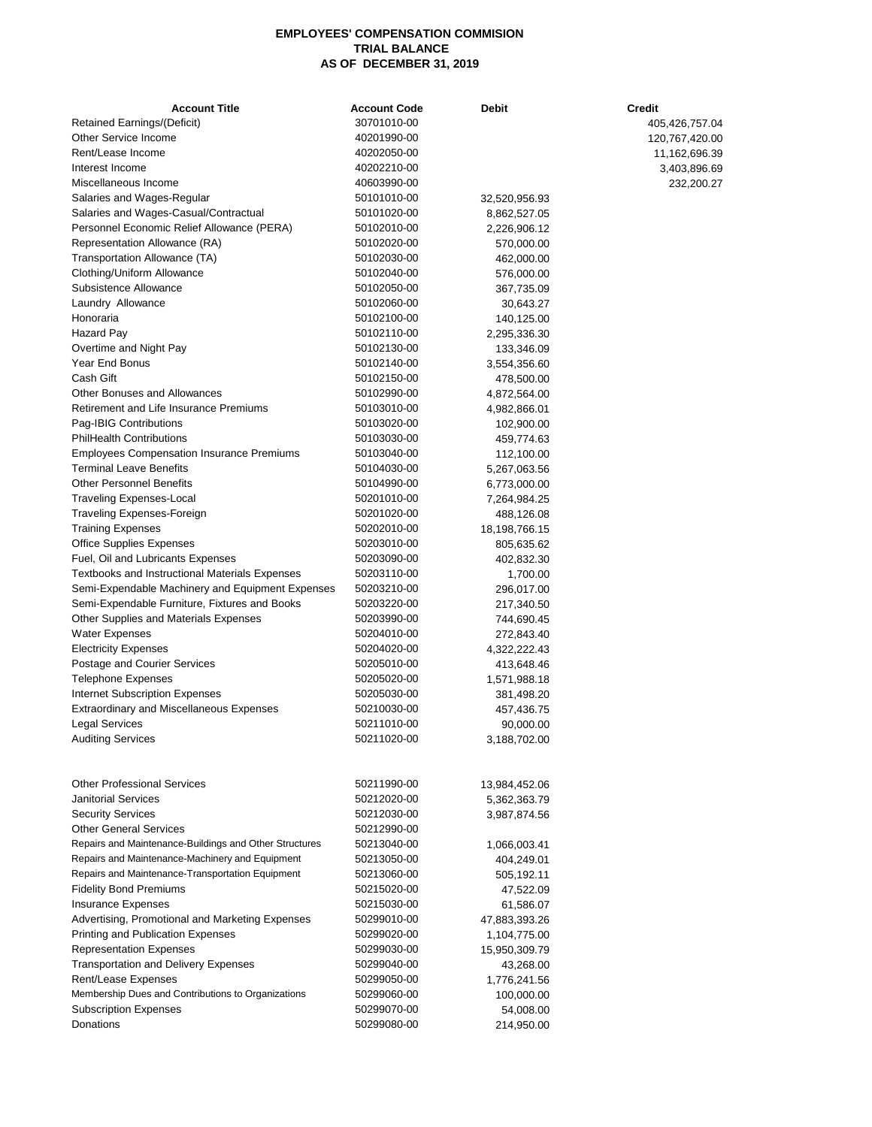## **EMPLOYEES' COMPENSATION COMMISION TRIAL BALANCE AS OF DECEMBER 31, 2019**

| <b>Account Title</b>                                   | <b>Account Code</b> | Debit                   | <b>Credit</b>  |
|--------------------------------------------------------|---------------------|-------------------------|----------------|
| Retained Earnings/(Deficit)                            | 30701010-00         |                         | 405,426,757.04 |
| Other Service Income                                   | 40201990-00         |                         | 120,767,420.00 |
| Rent/Lease Income                                      | 40202050-00         |                         | 11,162,696.39  |
| Interest Income                                        | 40202210-00         |                         | 3,403,896.69   |
| Miscellaneous Income                                   | 40603990-00         |                         | 232,200.27     |
| Salaries and Wages-Regular                             | 50101010-00         | 32,520,956.93           |                |
| Salaries and Wages-Casual/Contractual                  | 50101020-00         | 8,862,527.05            |                |
| Personnel Economic Relief Allowance (PERA)             | 50102010-00         | 2,226,906.12            |                |
| Representation Allowance (RA)                          | 50102020-00         | 570,000.00              |                |
| Transportation Allowance (TA)                          | 50102030-00         | 462,000.00              |                |
| Clothing/Uniform Allowance                             | 50102040-00         | 576,000.00              |                |
| Subsistence Allowance                                  | 50102050-00         | 367,735.09              |                |
| Laundry Allowance                                      | 50102060-00         | 30,643.27               |                |
| Honoraria                                              | 50102100-00         | 140,125.00              |                |
| Hazard Pay                                             | 50102110-00         | 2,295,336.30            |                |
| Overtime and Night Pay                                 | 50102130-00         | 133,346.09              |                |
| Year End Bonus                                         | 50102140-00         | 3,554,356.60            |                |
| Cash Gift                                              | 50102150-00         | 478,500.00              |                |
| <b>Other Bonuses and Allowances</b>                    | 50102990-00         | 4,872,564.00            |                |
| Retirement and Life Insurance Premiums                 | 50103010-00         | 4,982,866.01            |                |
| Pag-IBIG Contributions                                 | 50103020-00         | 102,900.00              |                |
| <b>PhilHealth Contributions</b>                        | 50103030-00         | 459,774.63              |                |
| <b>Employees Compensation Insurance Premiums</b>       | 50103040-00         | 112,100.00              |                |
| <b>Terminal Leave Benefits</b>                         | 50104030-00         | 5,267,063.56            |                |
| <b>Other Personnel Benefits</b>                        | 50104990-00         | 6,773,000.00            |                |
| Traveling Expenses-Local                               | 50201010-00         | 7,264,984.25            |                |
| Traveling Expenses-Foreign                             | 50201020-00         | 488,126.08              |                |
| Training Expenses                                      | 50202010-00         | 18, 198, 766. 15        |                |
| <b>Office Supplies Expenses</b>                        | 50203010-00         | 805,635.62              |                |
| Fuel, Oil and Lubricants Expenses                      | 50203090-00         | 402,832.30              |                |
| Textbooks and Instructional Materials Expenses         | 50203110-00         | 1,700.00                |                |
| Semi-Expendable Machinery and Equipment Expenses       | 50203210-00         | 296,017.00              |                |
| Semi-Expendable Furniture, Fixtures and Books          | 50203220-00         | 217,340.50              |                |
| Other Supplies and Materials Expenses                  | 50203990-00         | 744,690.45              |                |
| Water Expenses                                         | 50204010-00         | 272,843.40              |                |
| <b>Electricity Expenses</b>                            | 50204020-00         | 4,322,222.43            |                |
| Postage and Courier Services                           | 50205010-00         | 413,648.46              |                |
| Telephone Expenses                                     | 50205020-00         | 1,571,988.18            |                |
| Internet Subscription Expenses                         | 50205030-00         | 381,498.20              |                |
| <b>Extraordinary and Miscellaneous Expenses</b>        | 50210030-00         |                         |                |
| Legal Services                                         | 50211010-00         | 457,436.75<br>90,000.00 |                |
|                                                        |                     |                         |                |
| <b>Auditing Services</b>                               | 50211020-00         | 3,188,702.00            |                |
| Other Professional Services                            | 50211990-00         | 13,984,452.06           |                |
| Janitorial Services                                    | 50212020-00         | 5,362,363.79            |                |
| <b>Security Services</b>                               | 50212030-00         | 3,987,874.56            |                |
| Other General Services                                 | 50212990-00         |                         |                |
| Repairs and Maintenance-Buildings and Other Structures | 50213040-00         | 1,066,003.41            |                |
| Repairs and Maintenance-Machinery and Equipment        | 50213050-00         | 404,249.01              |                |
| Repairs and Maintenance-Transportation Equipment       | 50213060-00         | 505,192.11              |                |
| <b>Fidelity Bond Premiums</b>                          | 50215020-00         | 47,522.09               |                |
| <b>Insurance Expenses</b>                              | 50215030-00         | 61,586.07               |                |
| Advertising, Promotional and Marketing Expenses        | 50299010-00         | 47,883,393.26           |                |
| Printing and Publication Expenses                      | 50299020-00         | 1,104,775.00            |                |
| Representation Expenses                                | 50299030-00         | 15,950,309.79           |                |
| <b>Transportation and Delivery Expenses</b>            | 50299040-00         | 43,268.00               |                |
| Rent/Lease Expenses                                    | 50299050-00         | 1,776,241.56            |                |
| Membership Dues and Contributions to Organizations     | 50299060-00         | 100,000.00              |                |
| <b>Subscription Expenses</b>                           | 50299070-00         | 54,008.00               |                |
| Donations                                              | 50299080-00         | 214,950.00              |                |
|                                                        |                     |                         |                |